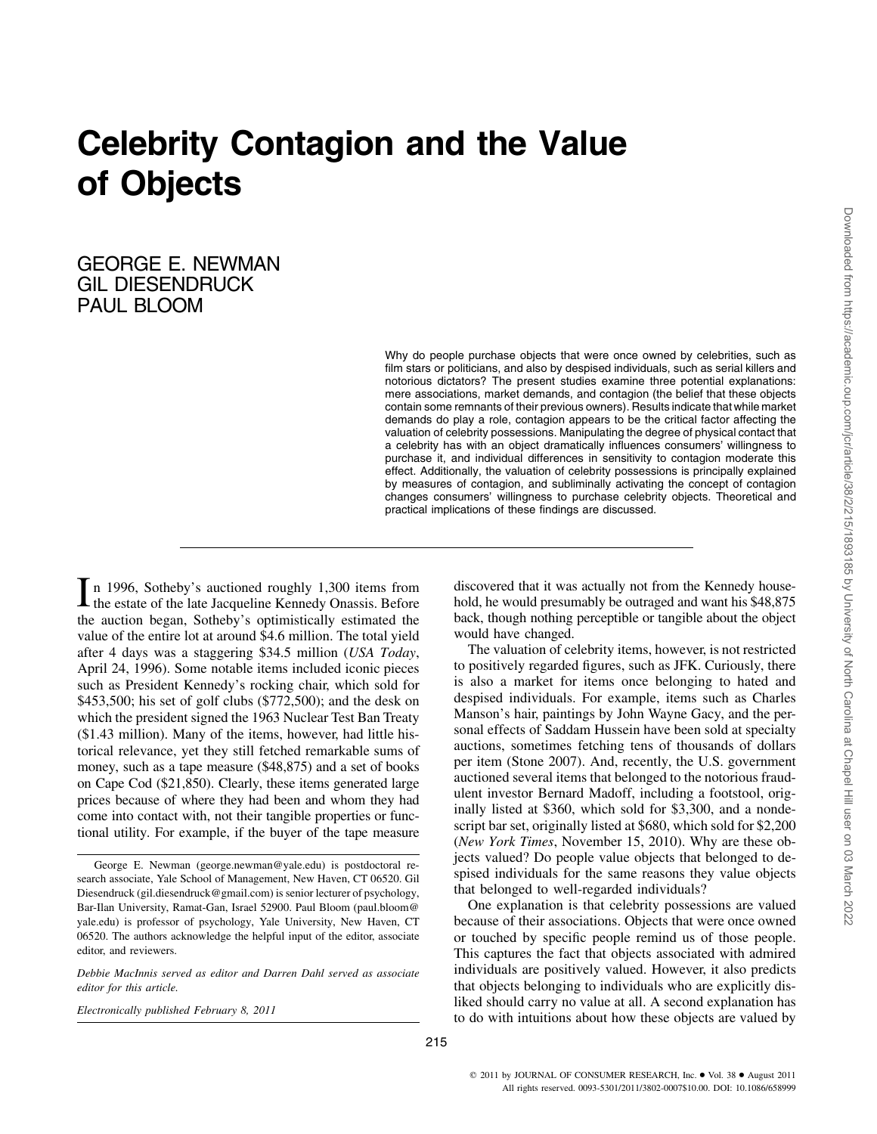# **Celebrity Contagion and the Value of Objects**

# GEORGE E. NEWMAN GIL DIESENDRUCK PAUL BLOOM

Why do people purchase objects that were once owned by celebrities, such as film stars or politicians, and also by despised individuals, such as serial killers and notorious dictators? The present studies examine three potential explanations: mere associations, market demands, and contagion (the belief that these objects contain some remnants of their previous owners). Results indicate that while market demands do play a role, contagion appears to be the critical factor affecting the valuation of celebrity possessions. Manipulating the degree of physical contact that a celebrity has with an object dramatically influences consumers' willingness to purchase it, and individual differences in sensitivity to contagion moderate this effect. Additionally, the valuation of celebrity possessions is principally explained by measures of contagion, and subliminally activating the concept of contagion changes consumers' willingness to purchase celebrity objects. Theoretical and practical implications of these findings are discussed.

In 1996, Sotheby's auctioned roughly 1,300 items from<br>the estate of the late Jacqueline Kennedy Onassis. Before the estate of the late Jacqueline Kennedy Onassis. Before the auction began, Sotheby's optimistically estimated the value of the entire lot at around \$4.6 million. The total yield after 4 days was a staggering \$34.5 million (*USA Today*, April 24, 1996). Some notable items included iconic pieces such as President Kennedy's rocking chair, which sold for \$453,500; his set of golf clubs (\$772,500); and the desk on which the president signed the 1963 Nuclear Test Ban Treaty (\$1.43 million). Many of the items, however, had little historical relevance, yet they still fetched remarkable sums of money, such as a tape measure (\$48,875) and a set of books on Cape Cod (\$21,850). Clearly, these items generated large prices because of where they had been and whom they had come into contact with, not their tangible properties or functional utility. For example, if the buyer of the tape measure

*Debbie MacInnis served as editor and Darren Dahl served as associate editor for this article.*

*Electronically published February 8, 2011*

discovered that it was actually not from the Kennedy household, he would presumably be outraged and want his \$48,875 back, though nothing perceptible or tangible about the object would have changed.

The valuation of celebrity items, however, is not restricted to positively regarded figures, such as JFK. Curiously, there is also a market for items once belonging to hated and despised individuals. For example, items such as Charles Manson's hair, paintings by John Wayne Gacy, and the personal effects of Saddam Hussein have been sold at specialty auctions, sometimes fetching tens of thousands of dollars per item (Stone 2007). And, recently, the U.S. government auctioned several items that belonged to the notorious fraudulent investor Bernard Madoff, including a footstool, originally listed at \$360, which sold for \$3,300, and a nondescript bar set, originally listed at \$680, which sold for \$2,200 (*New York Times*, November 15, 2010). Why are these objects valued? Do people value objects that belonged to despised individuals for the same reasons they value objects that belonged to well-regarded individuals?

One explanation is that celebrity possessions are valued because of their associations. Objects that were once owned or touched by specific people remind us of those people. This captures the fact that objects associated with admired individuals are positively valued. However, it also predicts that objects belonging to individuals who are explicitly disliked should carry no value at all. A second explanation has to do with intuitions about how these objects are valued by

George E. Newman (george.newman@yale.edu) is postdoctoral research associate, Yale School of Management, New Haven, CT 06520. Gil Diesendruck (gil.diesendruck@gmail.com) is senior lecturer of psychology, Bar-Ilan University, Ramat-Gan, Israel 52900. Paul Bloom (paul.bloom@ yale.edu) is professor of psychology, Yale University, New Haven, CT 06520. The authors acknowledge the helpful input of the editor, associate editor, and reviewers.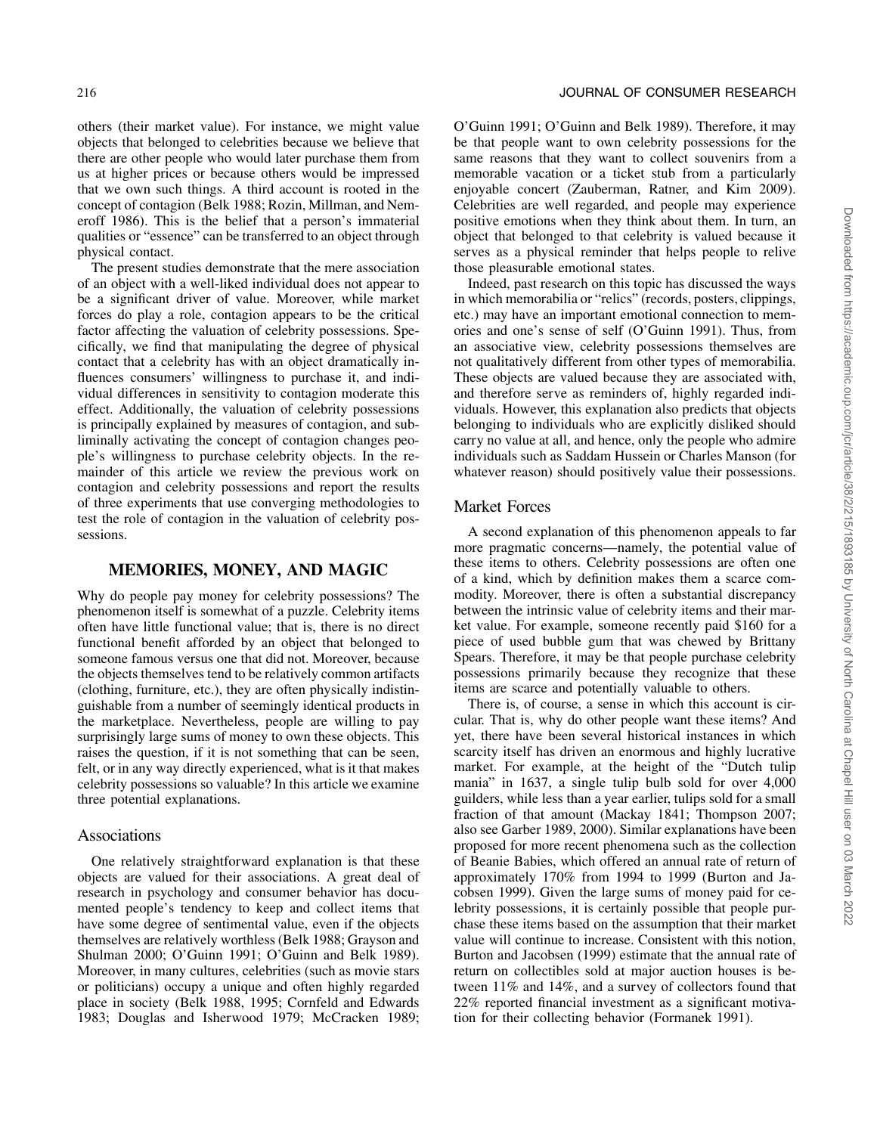others (their market value). For instance, we might value objects that belonged to celebrities because we believe that there are other people who would later purchase them from us at higher prices or because others would be impressed that we own such things. A third account is rooted in the concept of contagion (Belk 1988; Rozin, Millman, and Nemeroff 1986). This is the belief that a person's immaterial qualities or "essence" can be transferred to an object through physical contact.

The present studies demonstrate that the mere association of an object with a well-liked individual does not appear to be a significant driver of value. Moreover, while market forces do play a role, contagion appears to be the critical factor affecting the valuation of celebrity possessions. Specifically, we find that manipulating the degree of physical contact that a celebrity has with an object dramatically influences consumers' willingness to purchase it, and individual differences in sensitivity to contagion moderate this effect. Additionally, the valuation of celebrity possessions is principally explained by measures of contagion, and subliminally activating the concept of contagion changes people's willingness to purchase celebrity objects. In the remainder of this article we review the previous work on contagion and celebrity possessions and report the results of three experiments that use converging methodologies to test the role of contagion in the valuation of celebrity possessions.

## **MEMORIES, MONEY, AND MAGIC**

Why do people pay money for celebrity possessions? The phenomenon itself is somewhat of a puzzle. Celebrity items often have little functional value; that is, there is no direct functional benefit afforded by an object that belonged to someone famous versus one that did not. Moreover, because the objects themselves tend to be relatively common artifacts (clothing, furniture, etc.), they are often physically indistinguishable from a number of seemingly identical products in the marketplace. Nevertheless, people are willing to pay surprisingly large sums of money to own these objects. This raises the question, if it is not something that can be seen, felt, or in any way directly experienced, what is it that makes celebrity possessions so valuable? In this article we examine three potential explanations.

## Associations

One relatively straightforward explanation is that these objects are valued for their associations. A great deal of research in psychology and consumer behavior has documented people's tendency to keep and collect items that have some degree of sentimental value, even if the objects themselves are relatively worthless (Belk 1988; Grayson and Shulman 2000; O'Guinn 1991; O'Guinn and Belk 1989). Moreover, in many cultures, celebrities (such as movie stars or politicians) occupy a unique and often highly regarded place in society (Belk 1988, 1995; Cornfeld and Edwards 1983; Douglas and Isherwood 1979; McCracken 1989; O'Guinn 1991; O'Guinn and Belk 1989). Therefore, it may be that people want to own celebrity possessions for the same reasons that they want to collect souvenirs from a memorable vacation or a ticket stub from a particularly enjoyable concert (Zauberman, Ratner, and Kim 2009). Celebrities are well regarded, and people may experience positive emotions when they think about them. In turn, an object that belonged to that celebrity is valued because it serves as a physical reminder that helps people to relive those pleasurable emotional states.

Indeed, past research on this topic has discussed the ways in which memorabilia or "relics" (records, posters, clippings, etc.) may have an important emotional connection to memories and one's sense of self (O'Guinn 1991). Thus, from an associative view, celebrity possessions themselves are not qualitatively different from other types of memorabilia. These objects are valued because they are associated with, and therefore serve as reminders of, highly regarded individuals. However, this explanation also predicts that objects belonging to individuals who are explicitly disliked should carry no value at all, and hence, only the people who admire individuals such as Saddam Hussein or Charles Manson (for whatever reason) should positively value their possessions.

## Market Forces

A second explanation of this phenomenon appeals to far more pragmatic concerns—namely, the potential value of these items to others. Celebrity possessions are often one of a kind, which by definition makes them a scarce commodity. Moreover, there is often a substantial discrepancy between the intrinsic value of celebrity items and their market value. For example, someone recently paid \$160 for a piece of used bubble gum that was chewed by Brittany Spears. Therefore, it may be that people purchase celebrity possessions primarily because they recognize that these items are scarce and potentially valuable to others.

There is, of course, a sense in which this account is circular. That is, why do other people want these items? And yet, there have been several historical instances in which scarcity itself has driven an enormous and highly lucrative market. For example, at the height of the "Dutch tulip mania" in 1637, a single tulip bulb sold for over 4,000 guilders, while less than a year earlier, tulips sold for a small fraction of that amount (Mackay 1841; Thompson 2007; also see Garber 1989, 2000). Similar explanations have been proposed for more recent phenomena such as the collection of Beanie Babies, which offered an annual rate of return of approximately 170% from 1994 to 1999 (Burton and Jacobsen 1999). Given the large sums of money paid for celebrity possessions, it is certainly possible that people purchase these items based on the assumption that their market value will continue to increase. Consistent with this notion, Burton and Jacobsen (1999) estimate that the annual rate of return on collectibles sold at major auction houses is between 11% and 14%, and a survey of collectors found that 22% reported financial investment as a significant motivation for their collecting behavior (Formanek 1991).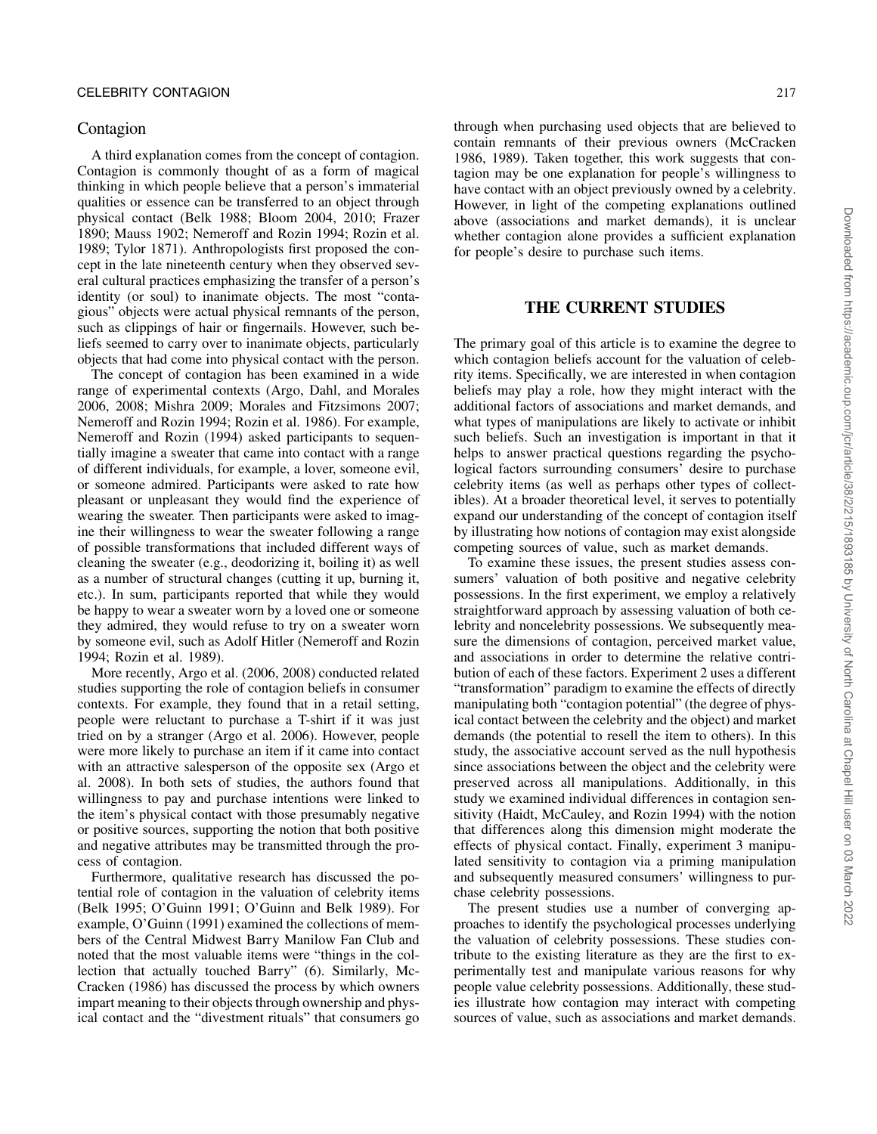## Contagion

A third explanation comes from the concept of contagion. Contagion is commonly thought of as a form of magical thinking in which people believe that a person's immaterial qualities or essence can be transferred to an object through physical contact (Belk 1988; Bloom 2004, 2010; Frazer 1890; Mauss 1902; Nemeroff and Rozin 1994; Rozin et al. 1989; Tylor 1871). Anthropologists first proposed the concept in the late nineteenth century when they observed several cultural practices emphasizing the transfer of a person's identity (or soul) to inanimate objects. The most "contagious" objects were actual physical remnants of the person, such as clippings of hair or fingernails. However, such beliefs seemed to carry over to inanimate objects, particularly objects that had come into physical contact with the person.

The concept of contagion has been examined in a wide range of experimental contexts (Argo, Dahl, and Morales 2006, 2008; Mishra 2009; Morales and Fitzsimons 2007; Nemeroff and Rozin 1994; Rozin et al. 1986). For example, Nemeroff and Rozin (1994) asked participants to sequentially imagine a sweater that came into contact with a range of different individuals, for example, a lover, someone evil, or someone admired. Participants were asked to rate how pleasant or unpleasant they would find the experience of wearing the sweater. Then participants were asked to imagine their willingness to wear the sweater following a range of possible transformations that included different ways of cleaning the sweater (e.g., deodorizing it, boiling it) as well as a number of structural changes (cutting it up, burning it, etc.). In sum, participants reported that while they would be happy to wear a sweater worn by a loved one or someone they admired, they would refuse to try on a sweater worn by someone evil, such as Adolf Hitler (Nemeroff and Rozin 1994; Rozin et al. 1989).

More recently, Argo et al. (2006, 2008) conducted related studies supporting the role of contagion beliefs in consumer contexts. For example, they found that in a retail setting, people were reluctant to purchase a T-shirt if it was just tried on by a stranger (Argo et al. 2006). However, people were more likely to purchase an item if it came into contact with an attractive salesperson of the opposite sex (Argo et al. 2008). In both sets of studies, the authors found that willingness to pay and purchase intentions were linked to the item's physical contact with those presumably negative or positive sources, supporting the notion that both positive and negative attributes may be transmitted through the process of contagion.

Furthermore, qualitative research has discussed the potential role of contagion in the valuation of celebrity items (Belk 1995; O'Guinn 1991; O'Guinn and Belk 1989). For example, O'Guinn (1991) examined the collections of members of the Central Midwest Barry Manilow Fan Club and noted that the most valuable items were "things in the collection that actually touched Barry" (6). Similarly, Mc-Cracken (1986) has discussed the process by which owners impart meaning to their objects through ownership and physical contact and the "divestment rituals" that consumers go through when purchasing used objects that are believed to contain remnants of their previous owners (McCracken 1986, 1989). Taken together, this work suggests that contagion may be one explanation for people's willingness to have contact with an object previously owned by a celebrity. However, in light of the competing explanations outlined above (associations and market demands), it is unclear whether contagion alone provides a sufficient explanation for people's desire to purchase such items.

## **THE CURRENT STUDIES**

The primary goal of this article is to examine the degree to which contagion beliefs account for the valuation of celebrity items. Specifically, we are interested in when contagion beliefs may play a role, how they might interact with the additional factors of associations and market demands, and what types of manipulations are likely to activate or inhibit such beliefs. Such an investigation is important in that it helps to answer practical questions regarding the psychological factors surrounding consumers' desire to purchase celebrity items (as well as perhaps other types of collectibles). At a broader theoretical level, it serves to potentially expand our understanding of the concept of contagion itself by illustrating how notions of contagion may exist alongside competing sources of value, such as market demands.

To examine these issues, the present studies assess consumers' valuation of both positive and negative celebrity possessions. In the first experiment, we employ a relatively straightforward approach by assessing valuation of both celebrity and noncelebrity possessions. We subsequently measure the dimensions of contagion, perceived market value, and associations in order to determine the relative contribution of each of these factors. Experiment 2 uses a different "transformation" paradigm to examine the effects of directly manipulating both "contagion potential" (the degree of physical contact between the celebrity and the object) and market demands (the potential to resell the item to others). In this study, the associative account served as the null hypothesis since associations between the object and the celebrity were preserved across all manipulations. Additionally, in this study we examined individual differences in contagion sensitivity (Haidt, McCauley, and Rozin 1994) with the notion that differences along this dimension might moderate the effects of physical contact. Finally, experiment 3 manipulated sensitivity to contagion via a priming manipulation and subsequently measured consumers' willingness to purchase celebrity possessions.

The present studies use a number of converging approaches to identify the psychological processes underlying the valuation of celebrity possessions. These studies contribute to the existing literature as they are the first to experimentally test and manipulate various reasons for why people value celebrity possessions. Additionally, these studies illustrate how contagion may interact with competing sources of value, such as associations and market demands.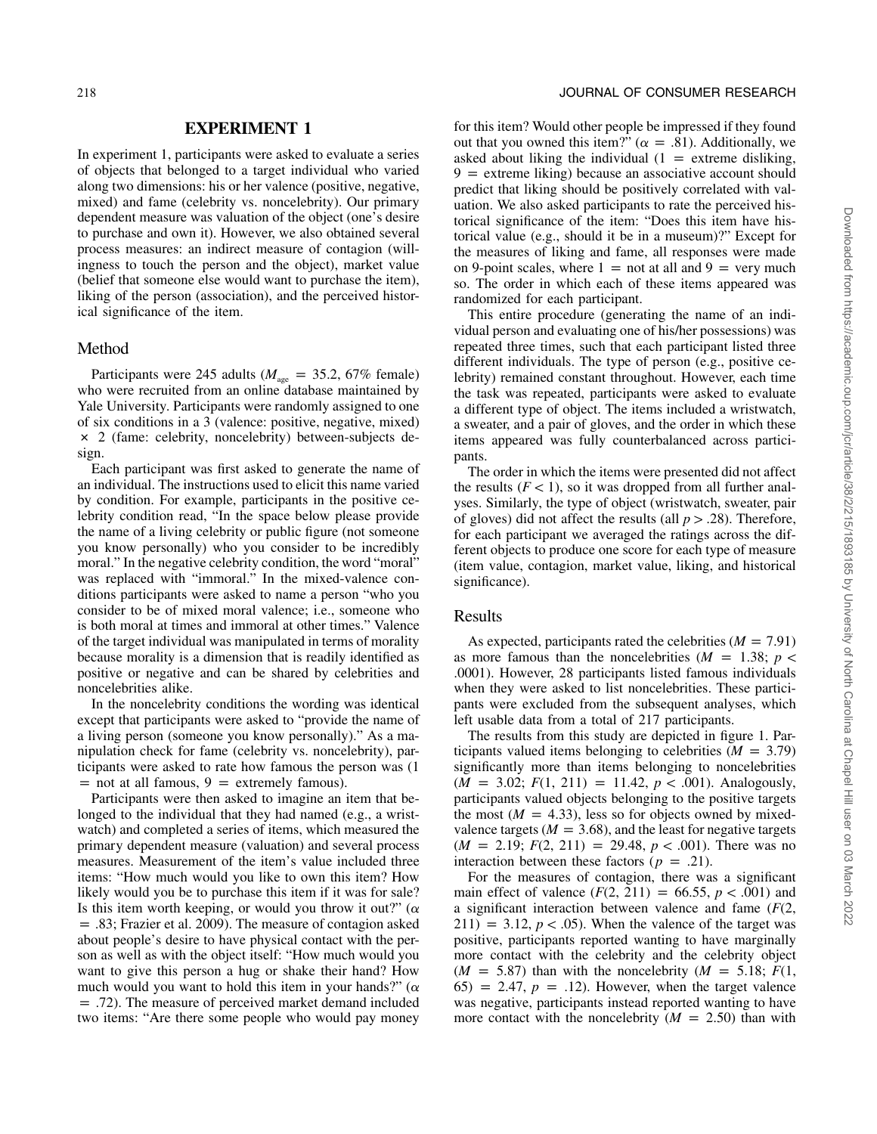## **EXPERIMENT 1**

In experiment 1, participants were asked to evaluate a series of objects that belonged to a target individual who varied along two dimensions: his or her valence (positive, negative, mixed) and fame (celebrity vs. noncelebrity). Our primary dependent measure was valuation of the object (one's desire to purchase and own it). However, we also obtained several process measures: an indirect measure of contagion (willingness to touch the person and the object), market value (belief that someone else would want to purchase the item), liking of the person (association), and the perceived historical significance of the item.

## Method

Participants were 245 adults ( $M_{\text{age}} = 35.2$ , 67% female) who were recruited from an online database maintained by Yale University. Participants were randomly assigned to one of six conditions in a 3 (valence: positive, negative, mixed)  $\times$  2 (fame: celebrity, noncelebrity) between-subjects design.

Each participant was first asked to generate the name of an individual. The instructions used to elicit this name varied by condition. For example, participants in the positive celebrity condition read, "In the space below please provide the name of a living celebrity or public figure (not someone you know personally) who you consider to be incredibly moral." In the negative celebrity condition, the word "moral" was replaced with "immoral." In the mixed-valence conditions participants were asked to name a person "who you consider to be of mixed moral valence; i.e., someone who is both moral at times and immoral at other times." Valence of the target individual was manipulated in terms of morality because morality is a dimension that is readily identified as positive or negative and can be shared by celebrities and noncelebrities alike.

In the noncelebrity conditions the wording was identical except that participants were asked to "provide the name of a living person (someone you know personally)." As a manipulation check for fame (celebrity vs. noncelebrity), participants were asked to rate how famous the person was (1  $p =$  not at all famous,  $9$  = extremely famous).

Participants were then asked to imagine an item that belonged to the individual that they had named (e.g., a wristwatch) and completed a series of items, which measured the primary dependent measure (valuation) and several process measures. Measurement of the item's value included three items: "How much would you like to own this item? How likely would you be to purchase this item if it was for sale? Is this item worth keeping, or would you throw it out?" ( $\alpha$  $= .83$ ; Frazier et al. 2009). The measure of contagion asked about people's desire to have physical contact with the person as well as with the object itself: "How much would you want to give this person a hug or shake their hand? How much would you want to hold this item in your hands?" ( $\alpha$  $= .72$ ). The measure of perceived market demand included two items: "Are there some people who would pay money for this item? Would other people be impressed if they found out that you owned this item?" ( $\alpha = .81$ ). Additionally, we asked about liking the individual  $(1$  = extreme disliking,  $9$  = extreme liking) because an associative account should predict that liking should be positively correlated with valuation. We also asked participants to rate the perceived historical significance of the item: "Does this item have historical value (e.g., should it be in a museum)?" Except for the measures of liking and fame, all responses were made on 9-point scales, where  $1 =$  not at all and  $9 =$  very much so. The order in which each of these items appeared was randomized for each participant.

This entire procedure (generating the name of an individual person and evaluating one of his/her possessions) was repeated three times, such that each participant listed three different individuals. The type of person (e.g., positive celebrity) remained constant throughout. However, each time the task was repeated, participants were asked to evaluate a different type of object. The items included a wristwatch, a sweater, and a pair of gloves, and the order in which these items appeared was fully counterbalanced across participants.

The order in which the items were presented did not affect the results  $(F < 1)$ , so it was dropped from all further analyses. Similarly, the type of object (wristwatch, sweater, pair of gloves) did not affect the results (all  $p > .28$ ). Therefore, for each participant we averaged the ratings across the different objects to produce one score for each type of measure (item value, contagion, market value, liking, and historical significance).

## Results

As expected, participants rated the celebrities  $(M = 7.91)$ as more famous than the noncelebrities  $(M = 1.38; p <$ .0001). However, 28 participants listed famous individuals when they were asked to list noncelebrities. These participants were excluded from the subsequent analyses, which left usable data from a total of 217 participants.

The results from this study are depicted in figure 1. Participants valued items belonging to celebrities  $(M = 3.79)$ significantly more than items belonging to noncelebrities  $(M = 3.02; F(1, 211) = 11.42, p < .001)$ . Analogously, participants valued objects belonging to the positive targets the most  $(M = 4.33)$ , less so for objects owned by mixedvalence targets ( $M = 3.68$ ), and the least for negative targets  $(M = 2.19; F(2, 211) = 29.48, p < .001)$ . There was no interaction between these factors ( $p = .21$ ).

For the measures of contagion, there was a significant main effect of valence  $(F(2, 211) = 66.55, p < .001)$  and a significant interaction between valence and fame (*F*(2,  $211$ ) = 3.12,  $p < .05$ ). When the valence of the target was positive, participants reported wanting to have marginally more contact with the celebrity and the celebrity object  $(M = 5.87)$  than with the noncelebrity  $(M = 5.18; F(1,$  $(65) = 2.47$ ,  $p = .12$ ). However, when the target valence was negative, participants instead reported wanting to have more contact with the noncelebrity  $(M = 2.50)$  than with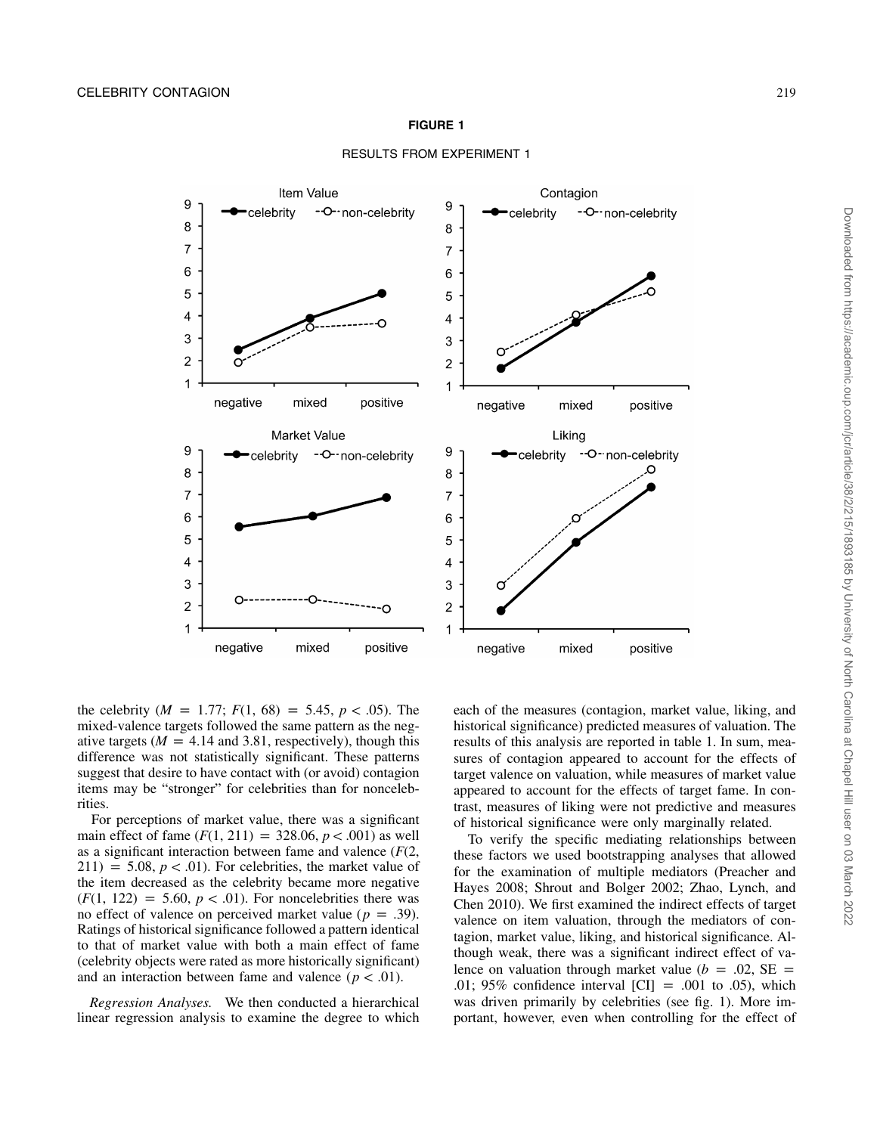

# **FIGURE 1**

## the celebrity ( $M = 1.77$ ;  $F(1, 68) = 5.45$ ,  $p < .05$ ). The mixed-valence targets followed the same pattern as the negative targets ( $M = 4.14$  and 3.81, respectively), though this difference was not statistically significant. These patterns suggest that desire to have contact with (or avoid) contagion items may be "stronger" for celebrities than for noncelebrities.

For perceptions of market value, there was a significant main effect of fame  $(F(1, 211) = 328.06, p < .001)$  as well as a significant interaction between fame and valence (*F*(2,  $211$ ) = 5.08,  $p < .01$ ). For celebrities, the market value of the item decreased as the celebrity became more negative  $(F(1, 122) = 5.60, p < .01)$ . For noncelebrities there was no effect of valence on perceived market value ( $p = .39$ ). Ratings of historical significance followed a pattern identical to that of market value with both a main effect of fame (celebrity objects were rated as more historically significant) and an interaction between fame and valence  $(p < .01)$ .

*Regression Analyses.* We then conducted a hierarchical linear regression analysis to examine the degree to which each of the measures (contagion, market value, liking, and historical significance) predicted measures of valuation. The results of this analysis are reported in table 1. In sum, measures of contagion appeared to account for the effects of target valence on valuation, while measures of market value appeared to account for the effects of target fame. In contrast, measures of liking were not predictive and measures of historical significance were only marginally related.

To verify the specific mediating relationships between these factors we used bootstrapping analyses that allowed for the examination of multiple mediators (Preacher and Hayes 2008; Shrout and Bolger 2002; Zhao, Lynch, and Chen 2010). We first examined the indirect effects of target valence on item valuation, through the mediators of contagion, market value, liking, and historical significance. Although weak, there was a significant indirect effect of valence on valuation through market value ( $b = .02$ , SE = .01; 95% confidence interval  $|CI| = .001$  to .05), which was driven primarily by celebrities (see fig. 1). More important, however, even when controlling for the effect of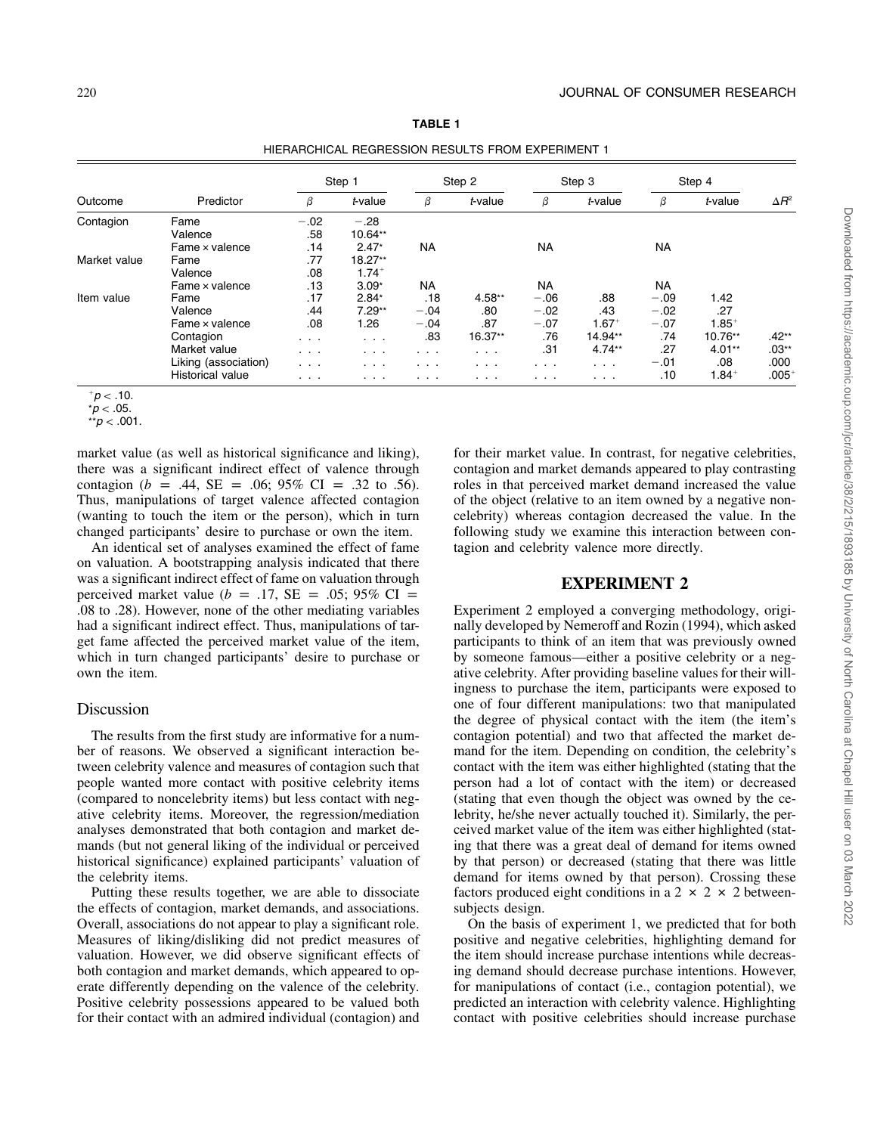| Outcome      | Predictor               | Step 1        |               | Step 2        |                      | Step 3    |                         | Step 4 |            |              |
|--------------|-------------------------|---------------|---------------|---------------|----------------------|-----------|-------------------------|--------|------------|--------------|
|              |                         | β             | t-value       | β             | t-value              | β         | t-value                 | β      | t-value    | $\Delta R^2$ |
| Contagion    | Fame                    | $-.02$        | $-.28$        |               |                      |           |                         |        |            |              |
|              | Valence                 | .58           | 10.64**       |               |                      |           |                         |        |            |              |
|              | Fame × valence          | .14           | $2.47*$       | <b>NA</b>     |                      | <b>NA</b> |                         | NA     |            |              |
| Market value | Fame                    | .77           | 18.27**       |               |                      |           |                         |        |            |              |
|              | Valence                 | .08           | $1.74+$       |               |                      |           |                         |        |            |              |
|              | Fame × valence          | .13           | $3.09*$       | NA.           |                      | <b>NA</b> |                         | NA.    |            |              |
| Item value   | Fame                    | .17           | $2.84*$       | .18           | $4.58**$             | $-.06$    | .88                     | $-.09$ | 1.42       |              |
|              | Valence                 | .44           | $7.29**$      | $-.04$        | .80                  | $-.02$    | .43                     | $-.02$ | .27        |              |
|              | Fame × valence          | .08           | 1.26          | $-.04$        | .87                  | $-.07$    | $1.67^{+}$              | $-.07$ | $1.85^{+}$ |              |
|              | Contagion               | $\sim$ $\sim$ | $\sim$ $\sim$ | .83           | 16.37**              | .76       | 14.94**                 | .74    | 10.76**    | $.42**$      |
|              | Market value            | $\cdots$      | $\sim$ $\sim$ | .             | $\sim$ $\sim$ $\sim$ | .31       | $4.74**$                | .27    | $4.01**$   | $.03**$      |
|              | Liking (association)    | $\cdots$      | .             | $\sim$ $\sim$ | $\cdots$             | .         | $\sim$ $\sim$           | $-.01$ | .08        | .000         |
|              | <b>Historical value</b> | $\cdots$      | .             | .             | $\sim$ $\sim$ $\sim$ | .         | $\cdot$ $\cdot$ $\cdot$ | .10    | $1.84^{+}$ | $.005+$      |

**TABLE 1**

HIERARCHICAL REGRESSION RESULTS FROM EXPERIMENT 1

market value (as well as historical significance and liking), there was a significant indirect effect of valence through contagion ( $b = .44$ , SE = .06; 95% CI = .32 to .56). Thus, manipulations of target valence affected contagion (wanting to touch the item or the person), which in turn changed participants' desire to purchase or own the item.

An identical set of analyses examined the effect of fame on valuation. A bootstrapping analysis indicated that there was a significant indirect effect of fame on valuation through perceived market value ( $b = .17$ , SE = .05; 95% CI = .08 to .28). However, none of the other mediating variables had a significant indirect effect. Thus, manipulations of target fame affected the perceived market value of the item, which in turn changed participants' desire to purchase or own the item.

## Discussion

The results from the first study are informative for a number of reasons. We observed a significant interaction between celebrity valence and measures of contagion such that people wanted more contact with positive celebrity items (compared to noncelebrity items) but less contact with negative celebrity items. Moreover, the regression/mediation analyses demonstrated that both contagion and market demands (but not general liking of the individual or perceived historical significance) explained participants' valuation of the celebrity items.

Putting these results together, we are able to dissociate the effects of contagion, market demands, and associations. Overall, associations do not appear to play a significant role. Measures of liking/disliking did not predict measures of valuation. However, we did observe significant effects of both contagion and market demands, which appeared to operate differently depending on the valence of the celebrity. Positive celebrity possessions appeared to be valued both for their contact with an admired individual (contagion) and for their market value. In contrast, for negative celebrities, contagion and market demands appeared to play contrasting roles in that perceived market demand increased the value of the object (relative to an item owned by a negative noncelebrity) whereas contagion decreased the value. In the following study we examine this interaction between contagion and celebrity valence more directly.

## **EXPERIMENT 2**

Experiment 2 employed a converging methodology, originally developed by Nemeroff and Rozin (1994), which asked participants to think of an item that was previously owned by someone famous—either a positive celebrity or a negative celebrity. After providing baseline values for their willingness to purchase the item, participants were exposed to one of four different manipulations: two that manipulated the degree of physical contact with the item (the item's contagion potential) and two that affected the market demand for the item. Depending on condition, the celebrity's contact with the item was either highlighted (stating that the person had a lot of contact with the item) or decreased (stating that even though the object was owned by the celebrity, he/she never actually touched it). Similarly, the perceived market value of the item was either highlighted (stating that there was a great deal of demand for items owned by that person) or decreased (stating that there was little demand for items owned by that person). Crossing these factors produced eight conditions in a  $2 \times 2 \times 2$  betweensubjects design.

On the basis of experiment 1, we predicted that for both positive and negative celebrities, highlighting demand for the item should increase purchase intentions while decreasing demand should decrease purchase intentions. However, for manipulations of contact (i.e., contagion potential), we predicted an interaction with celebrity valence. Highlighting contact with positive celebrities should increase purchase

 $p < .10$ .

 $p < .05$ .

 $* p < .001$ .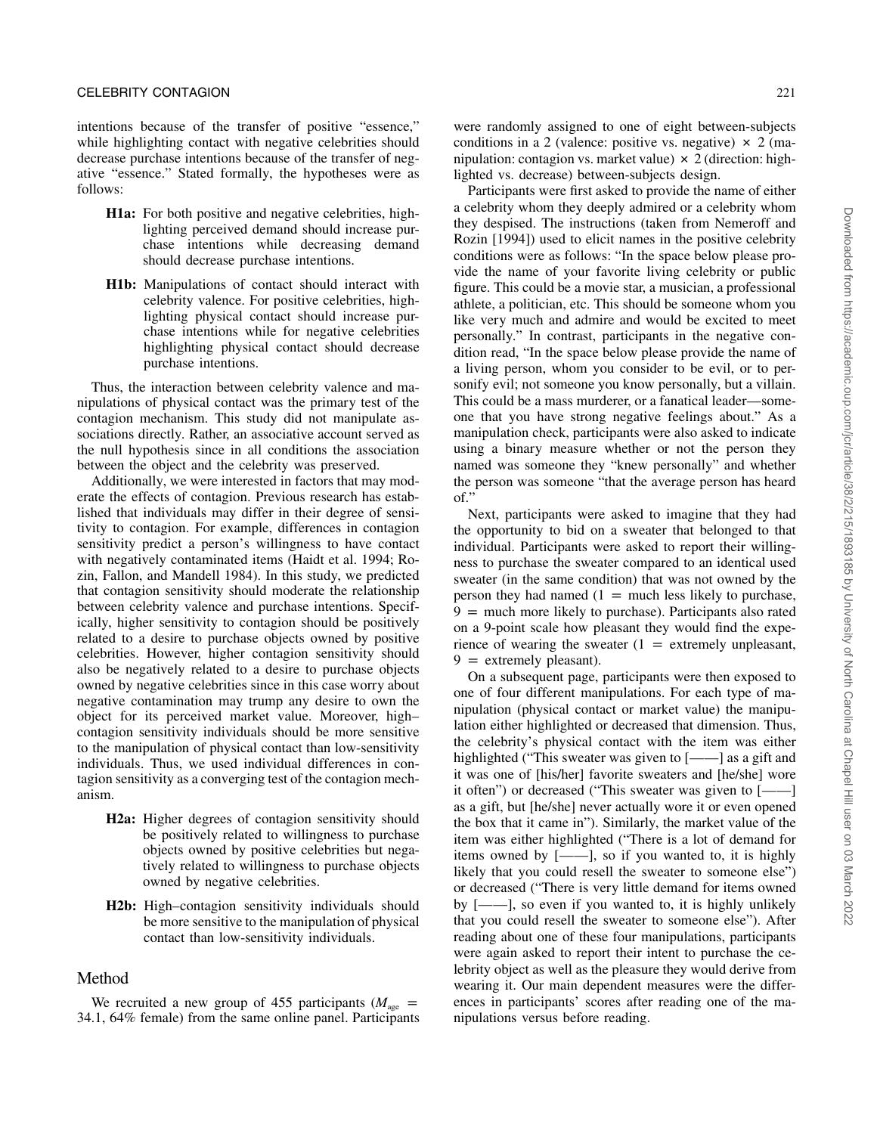intentions because of the transfer of positive "essence," while highlighting contact with negative celebrities should decrease purchase intentions because of the transfer of negative "essence." Stated formally, the hypotheses were as follows:

- **H1a:** For both positive and negative celebrities, highlighting perceived demand should increase purchase intentions while decreasing demand should decrease purchase intentions.
- **H1b:** Manipulations of contact should interact with celebrity valence. For positive celebrities, highlighting physical contact should increase purchase intentions while for negative celebrities highlighting physical contact should decrease purchase intentions.

Thus, the interaction between celebrity valence and manipulations of physical contact was the primary test of the contagion mechanism. This study did not manipulate associations directly. Rather, an associative account served as the null hypothesis since in all conditions the association between the object and the celebrity was preserved.

Additionally, we were interested in factors that may moderate the effects of contagion. Previous research has established that individuals may differ in their degree of sensitivity to contagion. For example, differences in contagion sensitivity predict a person's willingness to have contact with negatively contaminated items (Haidt et al. 1994; Rozin, Fallon, and Mandell 1984). In this study, we predicted that contagion sensitivity should moderate the relationship between celebrity valence and purchase intentions. Specifically, higher sensitivity to contagion should be positively related to a desire to purchase objects owned by positive celebrities. However, higher contagion sensitivity should also be negatively related to a desire to purchase objects owned by negative celebrities since in this case worry about negative contamination may trump any desire to own the object for its perceived market value. Moreover, high– contagion sensitivity individuals should be more sensitive to the manipulation of physical contact than low-sensitivity individuals. Thus, we used individual differences in contagion sensitivity as a converging test of the contagion mechanism.

- **H2a:** Higher degrees of contagion sensitivity should be positively related to willingness to purchase objects owned by positive celebrities but negatively related to willingness to purchase objects owned by negative celebrities.
- **H2b:** High–contagion sensitivity individuals should be more sensitive to the manipulation of physical contact than low-sensitivity individuals.

## Method

We recruited a new group of 455 participants ( $M_{\text{age}}$  = 34.1, 64% female) from the same online panel. Participants

were randomly assigned to one of eight between-subjects conditions in a 2 (valence: positive vs. negative)  $\times$  2 (manipulation: contagion vs. market value)  $\times$  2 (direction: highlighted vs. decrease) between-subjects design.

Participants were first asked to provide the name of either a celebrity whom they deeply admired or a celebrity whom they despised. The instructions (taken from Nemeroff and Rozin [1994]) used to elicit names in the positive celebrity conditions were as follows: "In the space below please provide the name of your favorite living celebrity or public figure. This could be a movie star, a musician, a professional athlete, a politician, etc. This should be someone whom you like very much and admire and would be excited to meet personally." In contrast, participants in the negative condition read, "In the space below please provide the name of a living person, whom you consider to be evil, or to personify evil; not someone you know personally, but a villain. This could be a mass murderer, or a fanatical leader—someone that you have strong negative feelings about." As a manipulation check, participants were also asked to indicate using a binary measure whether or not the person they named was someone they "knew personally" and whether the person was someone "that the average person has heard of."

Next, participants were asked to imagine that they had the opportunity to bid on a sweater that belonged to that individual. Participants were asked to report their willingness to purchase the sweater compared to an identical used sweater (in the same condition) that was not owned by the person they had named  $(1 =$  much less likely to purchase,  $9 =$  much more likely to purchase). Participants also rated on a 9-point scale how pleasant they would find the experience of wearing the sweater  $(1 =$  extremely unpleasant,  $9 =$  extremely pleasant).

On a subsequent page, participants were then exposed to one of four different manipulations. For each type of manipulation (physical contact or market value) the manipulation either highlighted or decreased that dimension. Thus, the celebrity's physical contact with the item was either highlighted ("This sweater was given to  $[-,-]$  as a gift and it was one of [his/her] favorite sweaters and [he/she] wore it often") or decreased ("This sweater was given to [——] as a gift, but [he/she] never actually wore it or even opened the box that it came in"). Similarly, the market value of the item was either highlighted ("There is a lot of demand for items owned by [——], so if you wanted to, it is highly likely that you could resell the sweater to someone else") or decreased ("There is very little demand for items owned by [——], so even if you wanted to, it is highly unlikely that you could resell the sweater to someone else"). After reading about one of these four manipulations, participants were again asked to report their intent to purchase the celebrity object as well as the pleasure they would derive from wearing it. Our main dependent measures were the differences in participants' scores after reading one of the manipulations versus before reading.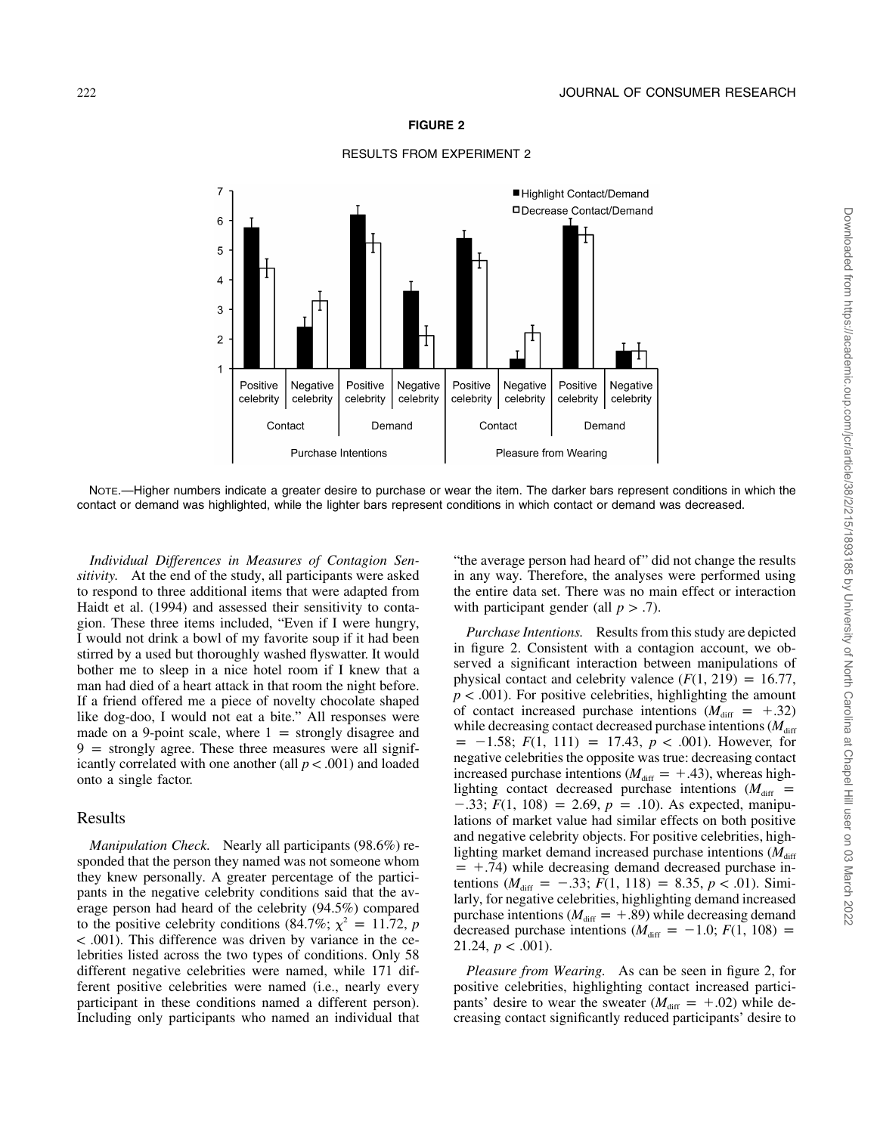### **FIGURE 2**



#### RESULTS FROM EXPERIMENT 2

NOTE.—Higher numbers indicate a greater desire to purchase or wear the item. The darker bars represent conditions in which the contact or demand was highlighted, while the lighter bars represent conditions in which contact or demand was decreased.

*Individual Differences in Measures of Contagion Sensitivity.* At the end of the study, all participants were asked to respond to three additional items that were adapted from Haidt et al. (1994) and assessed their sensitivity to contagion. These three items included, "Even if I were hungry, I would not drink a bowl of my favorite soup if it had been stirred by a used but thoroughly washed flyswatter. It would bother me to sleep in a nice hotel room if I knew that a man had died of a heart attack in that room the night before. If a friend offered me a piece of novelty chocolate shaped like dog-doo, I would not eat a bite." All responses were made on a 9-point scale, where  $1 =$  strongly disagree and  $9 =$  strongly agree. These three measures were all significantly correlated with one another (all  $p < .001$ ) and loaded onto a single factor.

## Results

*Manipulation Check.* Nearly all participants (98.6%) responded that the person they named was not someone whom they knew personally. A greater percentage of the participants in the negative celebrity conditions said that the average person had heard of the celebrity (94.5%) compared to the positive celebrity conditions (84.7%;  $\chi^2 = 11.72$ , *p* ! .001). This difference was driven by variance in the celebrities listed across the two types of conditions. Only 58 different negative celebrities were named, while 171 different positive celebrities were named (i.e., nearly every participant in these conditions named a different person). Including only participants who named an individual that

"the average person had heard of" did not change the results in any way. Therefore, the analyses were performed using the entire data set. There was no main effect or interaction with participant gender (all  $p > .7$ ).

*Purchase Intentions.* Results from this study are depicted in figure 2. Consistent with a contagion account, we observed a significant interaction between manipulations of physical contact and celebrity valence  $(F(1, 219) = 16.77$ ,  $p < .001$ ). For positive celebrities, highlighting the amount of contact increased purchase intentions  $(M_{\text{diff}} = +.32)$ while decreasing contact decreased purchase intentions  $(M<sub>diff</sub>)$  $= -1.58$ ; *F*(1, 111) = 17.43, *p* < .001). However, for negative celebrities the opposite was true: decreasing contact increased purchase intentions ( $M_{\text{diff}} = +0.43$ ), whereas highlighting contact decreased purchase intentions ( $M_{\text{diff}}$  =  $-0.33$ ; *F*(1, 108) = 2.69, *p* = .10). As expected, manipulations of market value had similar effects on both positive and negative celebrity objects. For positive celebrities, highlighting market demand increased purchase intentions  $(M<sub>diff</sub>)$  $= +.74$ ) while decreasing demand decreased purchase intentions ( $M_{\text{diff}} = -.33$ ;  $F(1, 118) = 8.35, p < .01$ ). Similarly, for negative celebrities, highlighting demand increased purchase intentions ( $M_{\text{diff}} = +.89$ ) while decreasing demand decreased purchase intentions ( $M_{\text{diff}} = -1.0; F(1, 108) =$ 21.24,  $p < .001$ ).

*Pleasure from Wearing.* As can be seen in figure 2, for positive celebrities, highlighting contact increased participants' desire to wear the sweater  $(M_{\text{diff}} = +.02)$  while decreasing contact significantly reduced participants' desire to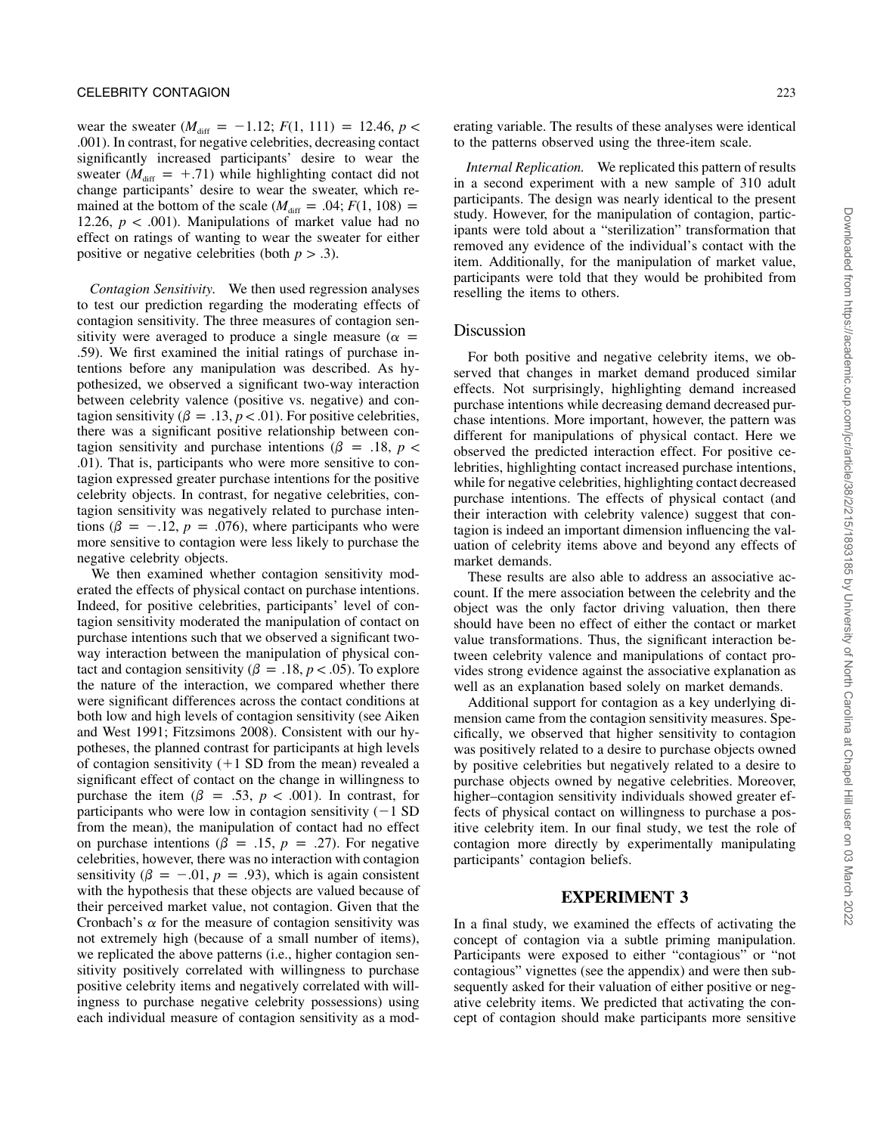wear the sweater ( $M_{\text{diff}} = -1.12$ ;  $F(1, 111) = 12.46$ ,  $p <$ .001). In contrast, for negative celebrities, decreasing contact significantly increased participants' desire to wear the sweater  $(M_{\text{diff}} = +.71)$  while highlighting contact did not change participants' desire to wear the sweater, which remained at the bottom of the scale ( $M_{\text{diff}} = .04$ ;  $F(1, 108) =$ 12.26,  $p < .001$ ). Manipulations of market value had no effect on ratings of wanting to wear the sweater for either positive or negative celebrities (both  $p > .3$ ).

*Contagion Sensitivity.* We then used regression analyses to test our prediction regarding the moderating effects of contagion sensitivity. The three measures of contagion sensitivity were averaged to produce a single measure ( $\alpha$  = .59). We first examined the initial ratings of purchase intentions before any manipulation was described. As hypothesized, we observed a significant two-way interaction between celebrity valence (positive vs. negative) and contagion sensitivity ( $\beta = .13$ ,  $p < .01$ ). For positive celebrities, there was a significant positive relationship between contagion sensitivity and purchase intentions ( $\beta$  = .18, *p* < .01). That is, participants who were more sensitive to contagion expressed greater purchase intentions for the positive celebrity objects. In contrast, for negative celebrities, contagion sensitivity was negatively related to purchase intentions ( $\beta = -.12$ ,  $p = .076$ ), where participants who were more sensitive to contagion were less likely to purchase the negative celebrity objects.

We then examined whether contagion sensitivity moderated the effects of physical contact on purchase intentions. Indeed, for positive celebrities, participants' level of contagion sensitivity moderated the manipulation of contact on purchase intentions such that we observed a significant twoway interaction between the manipulation of physical contact and contagion sensitivity ( $\beta = .18$ ,  $p < .05$ ). To explore the nature of the interaction, we compared whether there were significant differences across the contact conditions at both low and high levels of contagion sensitivity (see Aiken and West 1991; Fitzsimons 2008). Consistent with our hypotheses, the planned contrast for participants at high levels of contagion sensitivity  $(+1$  SD from the mean) revealed a significant effect of contact on the change in willingness to purchase the item ( $\beta = .53$ ,  $p < .001$ ). In contrast, for participants who were low in contagion sensitivity  $(-1 S D)$ from the mean), the manipulation of contact had no effect on purchase intentions ( $\beta = .15$ ,  $p = .27$ ). For negative celebrities, however, there was no interaction with contagion sensitivity ( $\beta = -.01$ ,  $p = .93$ ), which is again consistent with the hypothesis that these objects are valued because of their perceived market value, not contagion. Given that the Cronbach's  $\alpha$  for the measure of contagion sensitivity was not extremely high (because of a small number of items), we replicated the above patterns (i.e., higher contagion sensitivity positively correlated with willingness to purchase positive celebrity items and negatively correlated with willingness to purchase negative celebrity possessions) using each individual measure of contagion sensitivity as a moderating variable. The results of these analyses were identical to the patterns observed using the three-item scale.

*Internal Replication.* We replicated this pattern of results in a second experiment with a new sample of 310 adult participants. The design was nearly identical to the present study. However, for the manipulation of contagion, participants were told about a "sterilization" transformation that removed any evidence of the individual's contact with the item. Additionally, for the manipulation of market value, participants were told that they would be prohibited from reselling the items to others.

## Discussion

For both positive and negative celebrity items, we observed that changes in market demand produced similar effects. Not surprisingly, highlighting demand increased purchase intentions while decreasing demand decreased purchase intentions. More important, however, the pattern was different for manipulations of physical contact. Here we observed the predicted interaction effect. For positive celebrities, highlighting contact increased purchase intentions, while for negative celebrities, highlighting contact decreased purchase intentions. The effects of physical contact (and their interaction with celebrity valence) suggest that contagion is indeed an important dimension influencing the valuation of celebrity items above and beyond any effects of market demands.

These results are also able to address an associative account. If the mere association between the celebrity and the object was the only factor driving valuation, then there should have been no effect of either the contact or market value transformations. Thus, the significant interaction between celebrity valence and manipulations of contact provides strong evidence against the associative explanation as well as an explanation based solely on market demands.

Additional support for contagion as a key underlying dimension came from the contagion sensitivity measures. Specifically, we observed that higher sensitivity to contagion was positively related to a desire to purchase objects owned by positive celebrities but negatively related to a desire to purchase objects owned by negative celebrities. Moreover, higher–contagion sensitivity individuals showed greater effects of physical contact on willingness to purchase a positive celebrity item. In our final study, we test the role of contagion more directly by experimentally manipulating participants' contagion beliefs.

## **EXPERIMENT 3**

In a final study, we examined the effects of activating the concept of contagion via a subtle priming manipulation. Participants were exposed to either "contagious" or "not contagious" vignettes (see the appendix) and were then subsequently asked for their valuation of either positive or negative celebrity items. We predicted that activating the concept of contagion should make participants more sensitive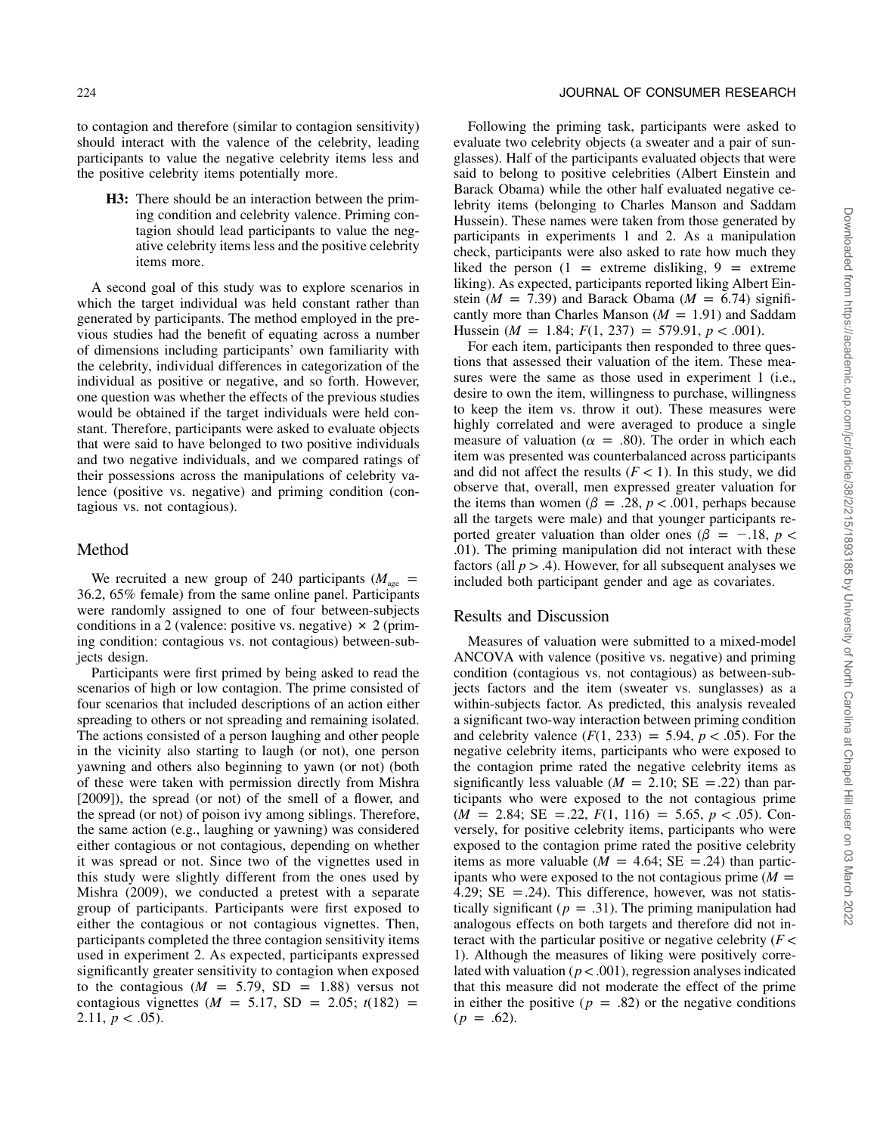to contagion and therefore (similar to contagion sensitivity) should interact with the valence of the celebrity, leading participants to value the negative celebrity items less and the positive celebrity items potentially more.

**H3:** There should be an interaction between the priming condition and celebrity valence. Priming contagion should lead participants to value the negative celebrity items less and the positive celebrity items more.

A second goal of this study was to explore scenarios in which the target individual was held constant rather than generated by participants. The method employed in the previous studies had the benefit of equating across a number of dimensions including participants' own familiarity with the celebrity, individual differences in categorization of the individual as positive or negative, and so forth. However, one question was whether the effects of the previous studies would be obtained if the target individuals were held constant. Therefore, participants were asked to evaluate objects that were said to have belonged to two positive individuals and two negative individuals, and we compared ratings of their possessions across the manipulations of celebrity valence (positive vs. negative) and priming condition (contagious vs. not contagious).

## Method

We recruited a new group of 240 participants ( $M_{\text{age}}$  = 36.2, 65% female) from the same online panel. Participants were randomly assigned to one of four between-subjects conditions in a 2 (valence: positive vs. negative)  $\times$  2 (priming condition: contagious vs. not contagious) between-subjects design.

Participants were first primed by being asked to read the scenarios of high or low contagion. The prime consisted of four scenarios that included descriptions of an action either spreading to others or not spreading and remaining isolated. The actions consisted of a person laughing and other people in the vicinity also starting to laugh (or not), one person yawning and others also beginning to yawn (or not) (both of these were taken with permission directly from Mishra [2009]), the spread (or not) of the smell of a flower, and the spread (or not) of poison ivy among siblings. Therefore, the same action (e.g., laughing or yawning) was considered either contagious or not contagious, depending on whether it was spread or not. Since two of the vignettes used in this study were slightly different from the ones used by Mishra (2009), we conducted a pretest with a separate group of participants. Participants were first exposed to either the contagious or not contagious vignettes. Then, participants completed the three contagion sensitivity items used in experiment 2. As expected, participants expressed significantly greater sensitivity to contagion when exposed to the contagious  $(M = 5.79, SD = 1.88)$  versus not contagious vignettes ( $M = 5.17$ , SD = 2.05;  $t(182)$  = 2.11,  $p < .05$ ).

Following the priming task, participants were asked to evaluate two celebrity objects (a sweater and a pair of sunglasses). Half of the participants evaluated objects that were said to belong to positive celebrities (Albert Einstein and Barack Obama) while the other half evaluated negative celebrity items (belonging to Charles Manson and Saddam Hussein). These names were taken from those generated by participants in experiments 1 and 2. As a manipulation check, participants were also asked to rate how much they liked the person  $(1$  = extreme disliking, 9 = extreme liking). As expected, participants reported liking Albert Einstein ( $M = 7.39$ ) and Barack Obama ( $M = 6.74$ ) significantly more than Charles Manson  $(M = 1.91)$  and Saddam Hussein (*M* = 1.84;  $F(1, 237) = 579.91, p < .001$ ).

For each item, participants then responded to three questions that assessed their valuation of the item. These measures were the same as those used in experiment 1 (i.e., desire to own the item, willingness to purchase, willingness to keep the item vs. throw it out). These measures were highly correlated and were averaged to produce a single measure of valuation ( $\alpha = .80$ ). The order in which each item was presented was counterbalanced across participants and did not affect the results  $(F < 1)$ . In this study, we did observe that, overall, men expressed greater valuation for the items than women ( $\beta = .28$ ,  $p < .001$ , perhaps because all the targets were male) and that younger participants reported greater valuation than older ones ( $\beta$  = -.18, *p* < .01). The priming manipulation did not interact with these factors (all  $p > .4$ ). However, for all subsequent analyses we included both participant gender and age as covariates.

## Results and Discussion

Measures of valuation were submitted to a mixed-model ANCOVA with valence (positive vs. negative) and priming condition (contagious vs. not contagious) as between-subjects factors and the item (sweater vs. sunglasses) as a within-subjects factor. As predicted, this analysis revealed a significant two-way interaction between priming condition and celebrity valence  $(F(1, 233) = 5.94, p < .05)$ . For the negative celebrity items, participants who were exposed to the contagion prime rated the negative celebrity items as significantly less valuable ( $M = 2.10$ ; SE = .22) than participants who were exposed to the not contagious prime  $(M = 2.84; SE = .22, F(1, 116) = 5.65, p < .05)$ . Conversely, for positive celebrity items, participants who were exposed to the contagion prime rated the positive celebrity items as more valuable ( $M = 4.64$ ; SE = .24) than participants who were exposed to the not contagious prime  $(M =$ 4.29; SE = .24). This difference, however, was not statistically significant ( $p = .31$ ). The priming manipulation had analogous effects on both targets and therefore did not interact with the particular positive or negative celebrity  $(F \leq$ 1). Although the measures of liking were positively correlated with valuation ( $p < .001$ ), regression analyses indicated that this measure did not moderate the effect of the prime in either the positive  $(p = .82)$  or the negative conditions  $(p = .62)$ .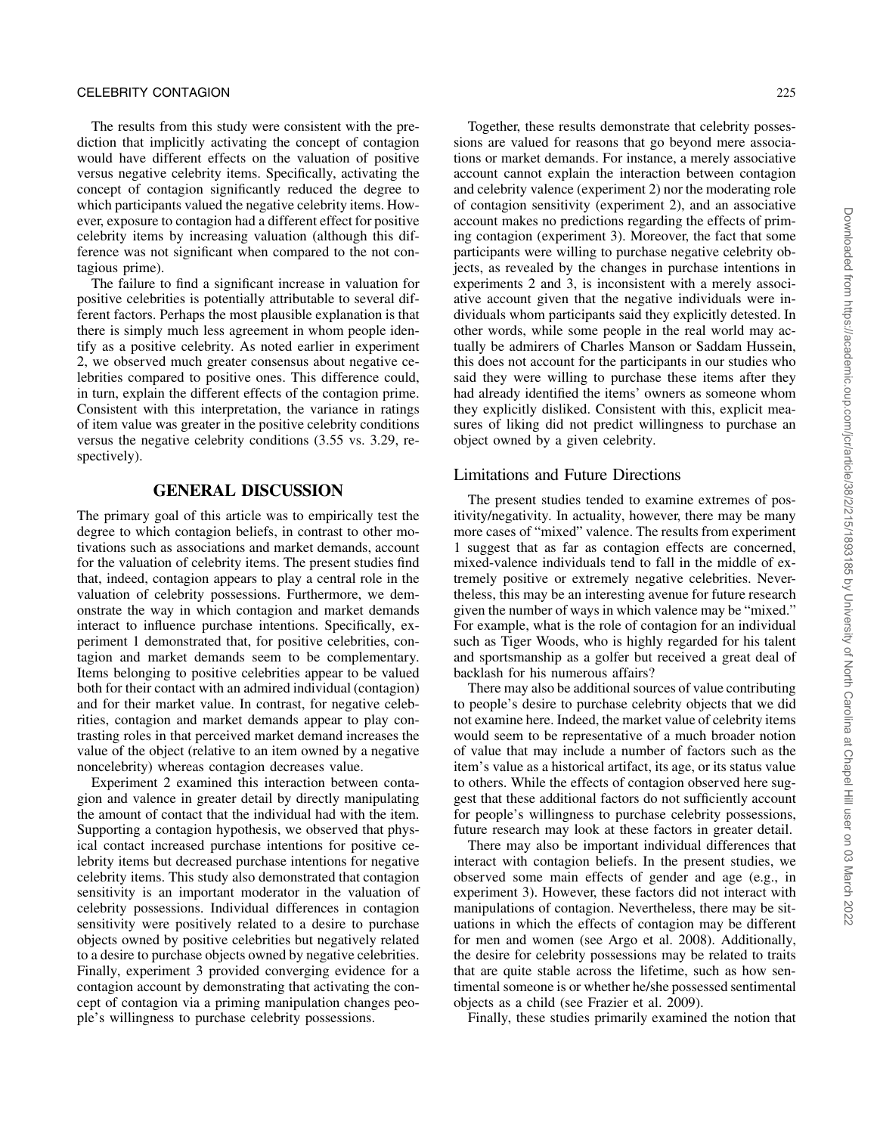## CELEBRITY CONTAGION 225

The results from this study were consistent with the prediction that implicitly activating the concept of contagion would have different effects on the valuation of positive versus negative celebrity items. Specifically, activating the concept of contagion significantly reduced the degree to which participants valued the negative celebrity items. However, exposure to contagion had a different effect for positive celebrity items by increasing valuation (although this difference was not significant when compared to the not contagious prime).

The failure to find a significant increase in valuation for positive celebrities is potentially attributable to several different factors. Perhaps the most plausible explanation is that there is simply much less agreement in whom people identify as a positive celebrity. As noted earlier in experiment 2, we observed much greater consensus about negative celebrities compared to positive ones. This difference could, in turn, explain the different effects of the contagion prime. Consistent with this interpretation, the variance in ratings of item value was greater in the positive celebrity conditions versus the negative celebrity conditions (3.55 vs. 3.29, respectively).

## **GENERAL DISCUSSION**

The primary goal of this article was to empirically test the degree to which contagion beliefs, in contrast to other motivations such as associations and market demands, account for the valuation of celebrity items. The present studies find that, indeed, contagion appears to play a central role in the valuation of celebrity possessions. Furthermore, we demonstrate the way in which contagion and market demands interact to influence purchase intentions. Specifically, experiment 1 demonstrated that, for positive celebrities, contagion and market demands seem to be complementary. Items belonging to positive celebrities appear to be valued both for their contact with an admired individual (contagion) and for their market value. In contrast, for negative celebrities, contagion and market demands appear to play contrasting roles in that perceived market demand increases the value of the object (relative to an item owned by a negative noncelebrity) whereas contagion decreases value.

Experiment 2 examined this interaction between contagion and valence in greater detail by directly manipulating the amount of contact that the individual had with the item. Supporting a contagion hypothesis, we observed that physical contact increased purchase intentions for positive celebrity items but decreased purchase intentions for negative celebrity items. This study also demonstrated that contagion sensitivity is an important moderator in the valuation of celebrity possessions. Individual differences in contagion sensitivity were positively related to a desire to purchase objects owned by positive celebrities but negatively related to a desire to purchase objects owned by negative celebrities. Finally, experiment 3 provided converging evidence for a contagion account by demonstrating that activating the concept of contagion via a priming manipulation changes people's willingness to purchase celebrity possessions.

Together, these results demonstrate that celebrity possessions are valued for reasons that go beyond mere associations or market demands. For instance, a merely associative account cannot explain the interaction between contagion and celebrity valence (experiment 2) nor the moderating role of contagion sensitivity (experiment 2), and an associative account makes no predictions regarding the effects of priming contagion (experiment 3). Moreover, the fact that some participants were willing to purchase negative celebrity objects, as revealed by the changes in purchase intentions in experiments 2 and 3, is inconsistent with a merely associative account given that the negative individuals were individuals whom participants said they explicitly detested. In other words, while some people in the real world may actually be admirers of Charles Manson or Saddam Hussein, this does not account for the participants in our studies who said they were willing to purchase these items after they had already identified the items' owners as someone whom they explicitly disliked. Consistent with this, explicit measures of liking did not predict willingness to purchase an object owned by a given celebrity.

## Limitations and Future Directions

The present studies tended to examine extremes of positivity/negativity. In actuality, however, there may be many more cases of "mixed" valence. The results from experiment 1 suggest that as far as contagion effects are concerned, mixed-valence individuals tend to fall in the middle of extremely positive or extremely negative celebrities. Nevertheless, this may be an interesting avenue for future research given the number of ways in which valence may be "mixed." For example, what is the role of contagion for an individual such as Tiger Woods, who is highly regarded for his talent and sportsmanship as a golfer but received a great deal of backlash for his numerous affairs?

There may also be additional sources of value contributing to people's desire to purchase celebrity objects that we did not examine here. Indeed, the market value of celebrity items would seem to be representative of a much broader notion of value that may include a number of factors such as the item's value as a historical artifact, its age, or its status value to others. While the effects of contagion observed here suggest that these additional factors do not sufficiently account for people's willingness to purchase celebrity possessions, future research may look at these factors in greater detail.

There may also be important individual differences that interact with contagion beliefs. In the present studies, we observed some main effects of gender and age (e.g., in experiment 3). However, these factors did not interact with manipulations of contagion. Nevertheless, there may be situations in which the effects of contagion may be different for men and women (see Argo et al. 2008). Additionally, the desire for celebrity possessions may be related to traits that are quite stable across the lifetime, such as how sentimental someone is or whether he/she possessed sentimental objects as a child (see Frazier et al. 2009).

Finally, these studies primarily examined the notion that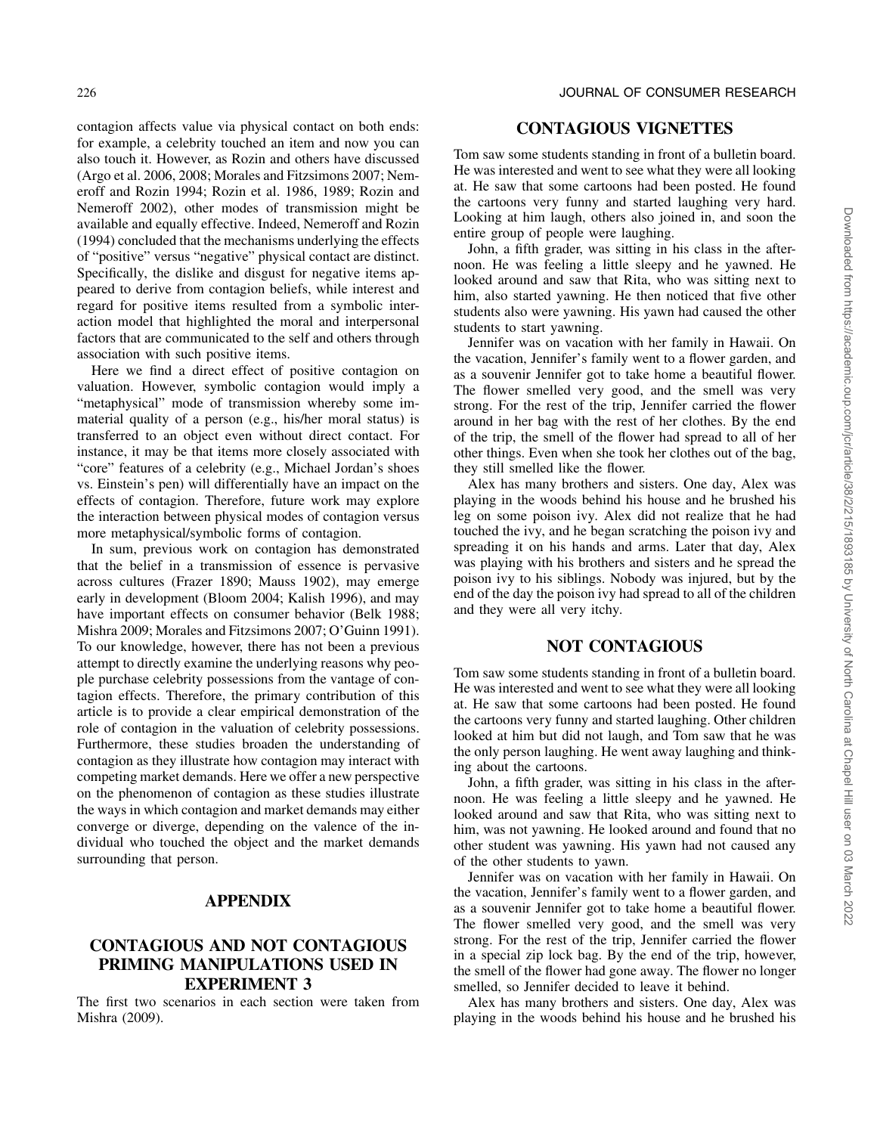contagion affects value via physical contact on both ends: for example, a celebrity touched an item and now you can also touch it. However, as Rozin and others have discussed (Argo et al. 2006, 2008; Morales and Fitzsimons 2007; Nemeroff and Rozin 1994; Rozin et al. 1986, 1989; Rozin and Nemeroff 2002), other modes of transmission might be available and equally effective. Indeed, Nemeroff and Rozin (1994) concluded that the mechanisms underlying the effects of "positive" versus "negative" physical contact are distinct. Specifically, the dislike and disgust for negative items appeared to derive from contagion beliefs, while interest and regard for positive items resulted from a symbolic interaction model that highlighted the moral and interpersonal factors that are communicated to the self and others through association with such positive items.

Here we find a direct effect of positive contagion on valuation. However, symbolic contagion would imply a "metaphysical" mode of transmission whereby some immaterial quality of a person (e.g., his/her moral status) is transferred to an object even without direct contact. For instance, it may be that items more closely associated with "core" features of a celebrity (e.g., Michael Jordan's shoes vs. Einstein's pen) will differentially have an impact on the effects of contagion. Therefore, future work may explore the interaction between physical modes of contagion versus more metaphysical/symbolic forms of contagion.

In sum, previous work on contagion has demonstrated that the belief in a transmission of essence is pervasive across cultures (Frazer 1890; Mauss 1902), may emerge early in development (Bloom 2004; Kalish 1996), and may have important effects on consumer behavior (Belk 1988; Mishra 2009; Morales and Fitzsimons 2007; O'Guinn 1991). To our knowledge, however, there has not been a previous attempt to directly examine the underlying reasons why people purchase celebrity possessions from the vantage of contagion effects. Therefore, the primary contribution of this article is to provide a clear empirical demonstration of the role of contagion in the valuation of celebrity possessions. Furthermore, these studies broaden the understanding of contagion as they illustrate how contagion may interact with competing market demands. Here we offer a new perspective on the phenomenon of contagion as these studies illustrate the ways in which contagion and market demands may either converge or diverge, depending on the valence of the individual who touched the object and the market demands surrounding that person.

## **APPENDIX**

## **CONTAGIOUS AND NOT CONTAGIOUS PRIMING MANIPULATIONS USED IN EXPERIMENT 3**

The first two scenarios in each section were taken from Mishra (2009).

## **CONTAGIOUS VIGNETTES**

Tom saw some students standing in front of a bulletin board. He was interested and went to see what they were all looking at. He saw that some cartoons had been posted. He found the cartoons very funny and started laughing very hard. Looking at him laugh, others also joined in, and soon the entire group of people were laughing.

John, a fifth grader, was sitting in his class in the afternoon. He was feeling a little sleepy and he yawned. He looked around and saw that Rita, who was sitting next to him, also started yawning. He then noticed that five other students also were yawning. His yawn had caused the other students to start yawning.

Jennifer was on vacation with her family in Hawaii. On the vacation, Jennifer's family went to a flower garden, and as a souvenir Jennifer got to take home a beautiful flower. The flower smelled very good, and the smell was very strong. For the rest of the trip, Jennifer carried the flower around in her bag with the rest of her clothes. By the end of the trip, the smell of the flower had spread to all of her other things. Even when she took her clothes out of the bag, they still smelled like the flower.

Alex has many brothers and sisters. One day, Alex was playing in the woods behind his house and he brushed his leg on some poison ivy. Alex did not realize that he had touched the ivy, and he began scratching the poison ivy and spreading it on his hands and arms. Later that day, Alex was playing with his brothers and sisters and he spread the poison ivy to his siblings. Nobody was injured, but by the end of the day the poison ivy had spread to all of the children and they were all very itchy.

## **NOT CONTAGIOUS**

Tom saw some students standing in front of a bulletin board. He was interested and went to see what they were all looking at. He saw that some cartoons had been posted. He found the cartoons very funny and started laughing. Other children looked at him but did not laugh, and Tom saw that he was the only person laughing. He went away laughing and thinking about the cartoons.

John, a fifth grader, was sitting in his class in the afternoon. He was feeling a little sleepy and he yawned. He looked around and saw that Rita, who was sitting next to him, was not yawning. He looked around and found that no other student was yawning. His yawn had not caused any of the other students to yawn.

Jennifer was on vacation with her family in Hawaii. On the vacation, Jennifer's family went to a flower garden, and as a souvenir Jennifer got to take home a beautiful flower. The flower smelled very good, and the smell was very strong. For the rest of the trip, Jennifer carried the flower in a special zip lock bag. By the end of the trip, however, the smell of the flower had gone away. The flower no longer smelled, so Jennifer decided to leave it behind.

Alex has many brothers and sisters. One day, Alex was playing in the woods behind his house and he brushed his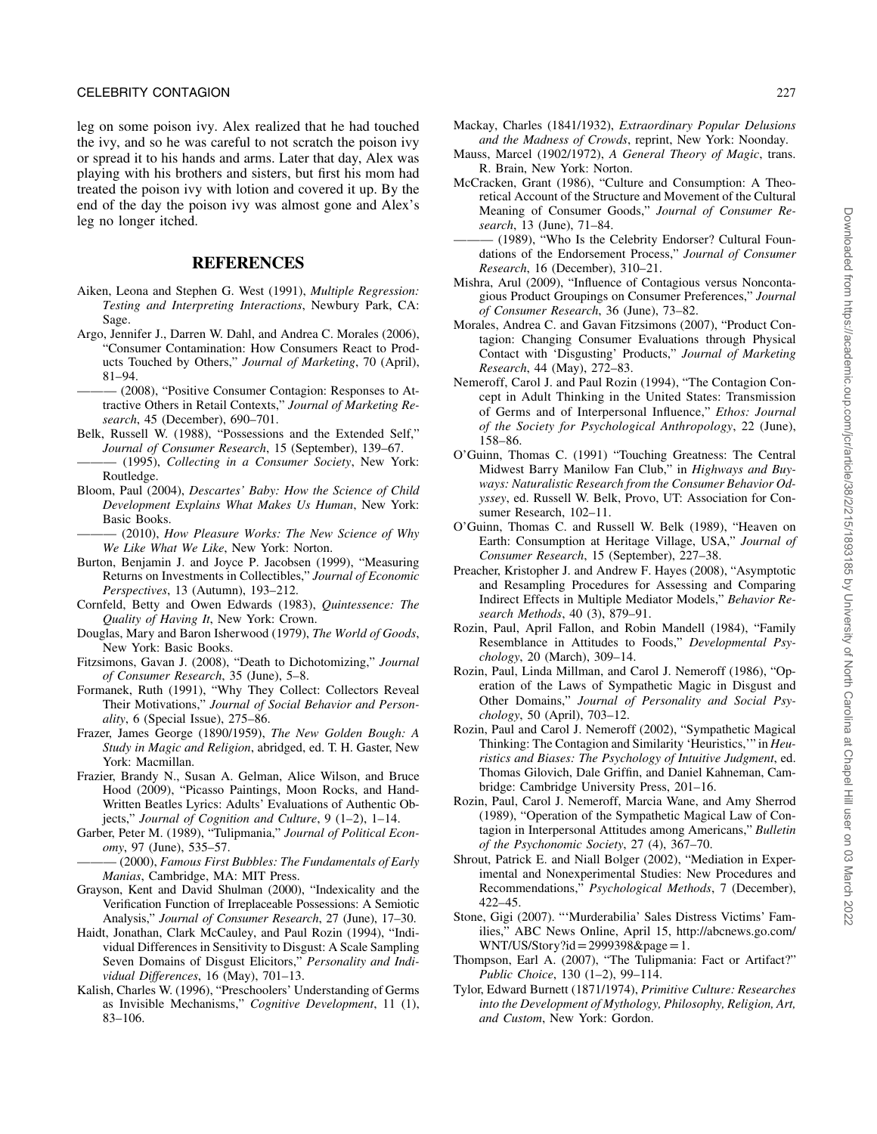Routledge.

leg on some poison ivy. Alex realized that he had touched the ivy, and so he was careful to not scratch the poison ivy or spread it to his hands and arms. Later that day, Alex was playing with his brothers and sisters, but first his mom had treated the poison ivy with lotion and covered it up. By the end of the day the poison ivy was almost gone and Alex's leg no longer itched.

## **REFERENCES**

- Aiken, Leona and Stephen G. West (1991), *Multiple Regression: Testing and Interpreting Interactions*, Newbury Park, CA: Sage.
- Argo, Jennifer J., Darren W. Dahl, and Andrea C. Morales (2006), "Consumer Contamination: How Consumers React to Products Touched by Others," *Journal of Marketing*, 70 (April), 81–94.
- ——— (2008), "Positive Consumer Contagion: Responses to Attractive Others in Retail Contexts," *Journal of Marketing Research*, 45 (December), 690–701.
- Belk, Russell W. (1988), "Possessions and the Extended Self," *Journal of Consumer Research*, 15 (September), 139–67. ——— (1995), *Collecting in a Consumer Society*, New York:
- Bloom, Paul (2004), *Descartes' Baby: How the Science of Child Development Explains What Makes Us Human*, New York: Basic Books.
- (2010), *How Pleasure Works: The New Science of Why We Like What We Like*, New York: Norton.
- Burton, Benjamin J. and Joyce P. Jacobsen (1999), "Measuring Returns on Investments in Collectibles," *Journal of Economic Perspectives*, 13 (Autumn), 193–212.
- Cornfeld, Betty and Owen Edwards (1983), *Quintessence: The Quality of Having It*, New York: Crown.
- Douglas, Mary and Baron Isherwood (1979), *The World of Goods*, New York: Basic Books.
- Fitzsimons, Gavan J. (2008), "Death to Dichotomizing," *Journal of Consumer Research*, 35 (June), 5–8.
- Formanek, Ruth (1991), "Why They Collect: Collectors Reveal Their Motivations," *Journal of Social Behavior and Personality*, 6 (Special Issue), 275–86.
- Frazer, James George (1890/1959), *The New Golden Bough: A Study in Magic and Religion*, abridged, ed. T. H. Gaster, New York: Macmillan.
- Frazier, Brandy N., Susan A. Gelman, Alice Wilson, and Bruce Hood (2009), "Picasso Paintings, Moon Rocks, and Hand-Written Beatles Lyrics: Adults' Evaluations of Authentic Objects," *Journal of Cognition and Culture*, 9 (1–2), 1–14.
- Garber, Peter M. (1989), "Tulipmania," *Journal of Political Economy*, 97 (June), 535–57.
- ——— (2000), *Famous First Bubbles: The Fundamentals of Early Manias*, Cambridge, MA: MIT Press.
- Grayson, Kent and David Shulman (2000), "Indexicality and the Verification Function of Irreplaceable Possessions: A Semiotic Analysis," *Journal of Consumer Research*, 27 (June), 17–30.
- Haidt, Jonathan, Clark McCauley, and Paul Rozin (1994), "Individual Differences in Sensitivity to Disgust: A Scale Sampling Seven Domains of Disgust Elicitors," *Personality and Individual Differences*, 16 (May), 701–13.
- Kalish, Charles W. (1996), "Preschoolers' Understanding of Germs as Invisible Mechanisms," *Cognitive Development*, 11 (1), 83–106.
- Mackay, Charles (1841/1932), *Extraordinary Popular Delusions and the Madness of Crowds*, reprint, New York: Noonday.
- Mauss, Marcel (1902/1972), *A General Theory of Magic*, trans. R. Brain, New York: Norton.
- McCracken, Grant (1986), "Culture and Consumption: A Theoretical Account of the Structure and Movement of the Cultural Meaning of Consumer Goods," *Journal of Consumer Research*, 13 (June), 71–84.
- (1989), "Who Is the Celebrity Endorser? Cultural Foundations of the Endorsement Process," *Journal of Consumer Research*, 16 (December), 310–21.
- Mishra, Arul (2009), "Influence of Contagious versus Noncontagious Product Groupings on Consumer Preferences," *Journal of Consumer Research*, 36 (June), 73–82.
- Morales, Andrea C. and Gavan Fitzsimons (2007), "Product Contagion: Changing Consumer Evaluations through Physical Contact with 'Disgusting' Products," *Journal of Marketing Research*, 44 (May), 272–83.
- Nemeroff, Carol J. and Paul Rozin (1994), "The Contagion Concept in Adult Thinking in the United States: Transmission of Germs and of Interpersonal Influence," *Ethos: Journal of the Society for Psychological Anthropology*, 22 (June), 158–86.
- O'Guinn, Thomas C. (1991) "Touching Greatness: The Central Midwest Barry Manilow Fan Club," in *Highways and Buyways: Naturalistic Research from the Consumer Behavior Odyssey*, ed. Russell W. Belk, Provo, UT: Association for Consumer Research, 102–11.
- O'Guinn, Thomas C. and Russell W. Belk (1989), "Heaven on Earth: Consumption at Heritage Village, USA," *Journal of Consumer Research*, 15 (September), 227–38.
- Preacher, Kristopher J. and Andrew F. Hayes (2008), "Asymptotic and Resampling Procedures for Assessing and Comparing Indirect Effects in Multiple Mediator Models," *Behavior Research Methods*, 40 (3), 879–91.
- Rozin, Paul, April Fallon, and Robin Mandell (1984), "Family Resemblance in Attitudes to Foods," *Developmental Psychology*, 20 (March), 309–14.
- Rozin, Paul, Linda Millman, and Carol J. Nemeroff (1986), "Operation of the Laws of Sympathetic Magic in Disgust and Other Domains," *Journal of Personality and Social Psychology*, 50 (April), 703–12.
- Rozin, Paul and Carol J. Nemeroff (2002), "Sympathetic Magical Thinking: The Contagion and Similarity 'Heuristics,'" in *Heuristics and Biases: The Psychology of Intuitive Judgment*, ed. Thomas Gilovich, Dale Griffin, and Daniel Kahneman, Cambridge: Cambridge University Press, 201–16.
- Rozin, Paul, Carol J. Nemeroff, Marcia Wane, and Amy Sherrod (1989), "Operation of the Sympathetic Magical Law of Contagion in Interpersonal Attitudes among Americans," *Bulletin of the Psychonomic Society*, 27 (4), 367–70.
- Shrout, Patrick E. and Niall Bolger (2002), "Mediation in Experimental and Nonexperimental Studies: New Procedures and Recommendations," *Psychological Methods*, 7 (December), 422–45.
- Stone, Gigi (2007). "'Murderabilia' Sales Distress Victims' Families," ABC News Online, April 15, http://abcnews.go.com/ WNT/US/Story?id=2999398&page=1.
- Thompson, Earl A. (2007), "The Tulipmania: Fact or Artifact?" *Public Choice*, 130 (1–2), 99–114.
- Tylor, Edward Burnett (1871/1974), *Primitive Culture: Researches into the Development of Mythology, Philosophy, Religion, Art, and Custom*, New York: Gordon.